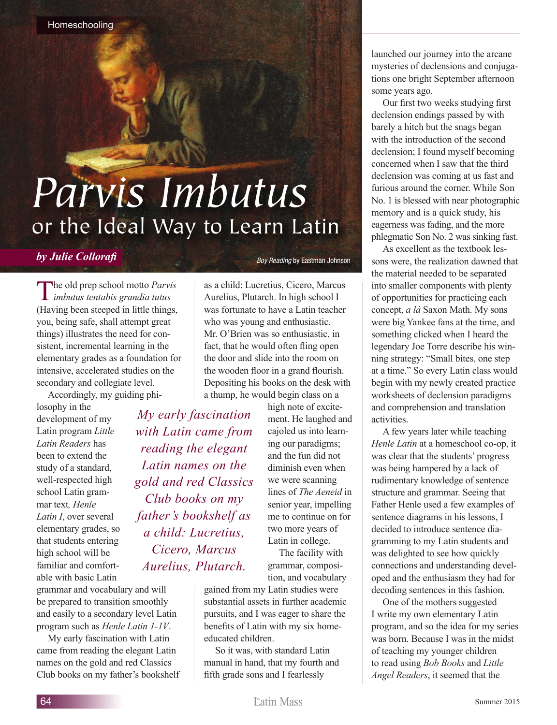## *Parvis Imbutus* or the Ideal Way to Learn Latin

## *by Julie Collorafi*

*Boy Reading* by Eastman Johnson

The old prep school motto *Parvis imbutus tentabis grandia tutus*  (Having been steeped in little things, you, being safe, shall attempt great things) illustrates the need for consistent, incremental learning in the elementary grades as a foundation for intensive, accelerated studies on the secondary and collegiate level.

Accordingly, my guiding phi-

losophy in the development of my Latin program *Little Latin Readers* has been to extend the study of a standard, well-respected high school Latin grammar text*, Henle Latin I*, over several elementary grades, so that students entering high school will be familiar and comfortable with basic Latin

grammar and vocabulary and will be prepared to transition smoothly and easily to a secondary level Latin program such as *Henle Latin 1-1V*.

My early fascination with Latin came from reading the elegant Latin names on the gold and red Classics Club books on my father's bookshelf Aurelius, Plutarch. In high school I was fortunate to have a Latin teacher who was young and enthusiastic. Mr. O'Brien was so enthusiastic, in fact, that he would often fling open the door and slide into the room on the wooden floor in a grand flourish. Depositing his books on the desk with a thump, he would begin class on a

as a child: Lucretius, Cicero, Marcus

*My early fascination with Latin came from reading the elegant Latin names on the gold and red Classics Club books on my father's bookshelf as a child: Lucretius, Cicero, Marcus Aurelius, Plutarch.*

high note of excitement. He laughed and cajoled us into learning our paradigms; and the fun did not diminish even when we were scanning lines of *The Aeneid* in senior year, impelling me to continue on for two more years of Latin in college. The facility with

grammar, composition, and vocabulary

gained from my Latin studies were substantial assets in further academic pursuits, and I was eager to share the benefits of Latin with my six homeeducated children.

So it was, with standard Latin manual in hand, that my fourth and fifth grade sons and I fearlessly

launched our journey into the arcane mysteries of declensions and conjugations one bright September afternoon some years ago.

Our first two weeks studying first declension endings passed by with barely a hitch but the snags began with the introduction of the second declension; I found myself becoming concerned when I saw that the third declension was coming at us fast and furious around the corner. While Son No. 1 is blessed with near photographic memory and is a quick study, his eagerness was fading, and the more phlegmatic Son No. 2 was sinking fast.

As excellent as the textbook lessons were, the realization dawned that the material needed to be separated into smaller components with plenty of opportunities for practicing each concept, *a lá* Saxon Math. My sons were big Yankee fans at the time, and something clicked when I heard the legendary Joe Torre describe his winning strategy: "Small bites, one step at a time." So every Latin class would begin with my newly created practice worksheets of declension paradigms and comprehension and translation activities.

A few years later while teaching *Henle Latin* at a homeschool co-op, it was clear that the students' progress was being hampered by a lack of rudimentary knowledge of sentence structure and grammar. Seeing that Father Henle used a few examples of sentence diagrams in his lessons, I decided to introduce sentence diagramming to my Latin students and was delighted to see how quickly connections and understanding developed and the enthusiasm they had for decoding sentences in this fashion.

One of the mothers suggested I write my own elementary Latin program, and so the idea for my series was born. Because I was in the midst of teaching my younger children to read using *Bob Books* and *Little Angel Readers*, it seemed that the